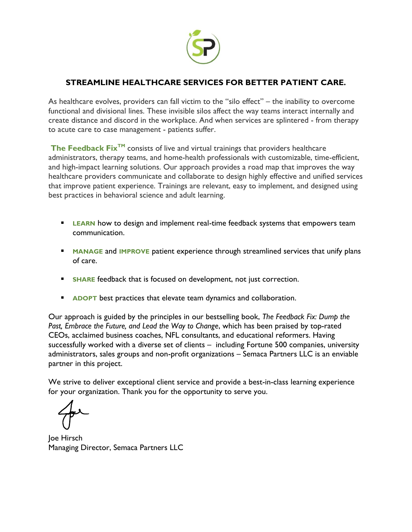

## **STREAMLINE HEALTHCARE SERVICES FOR BETTER PATIENT CARE.**

As healthcare evolves, providers can fall victim to the "silo effect" – the inability to overcome functional and divisional lines. These invisible silos affect the way teams interact internally and create distance and discord in the workplace. And when services are splintered - from therapy to acute care to case management - patients suffer.

**The Feedback Fix<sup>™</sup>** consists of live and virtual trainings that providers healthcare administrators, therapy teams, and home-health professionals with customizable, time-efficient, and high-impact learning solutions. Our approach provides a road map that improves the way healthcare providers communicate and collaborate to design highly effective and unified services that improve patient experience. Trainings are relevant, easy to implement, and designed using best practices in behavioral science and adult learning.

- **ELEARN** how to design and implement real-time feedback systems that empowers team communication.
- **E** MANAGE and IMPROVE patient experience through streamlined services that unify plans of care.
- **EXECTE FEEDBACK THAT IS FOCUSED ON development, not just correction.**
- **EXPORT** best practices that elevate team dynamics and collaboration.

Our approach is guided by the principles in our bestselling book, *The Feedback Fix: Dump the Past, Embrace the Future, and Lead the Way to Change*, which has been praised by top-rated CEOs, acclaimed business coaches, NFL consultants, and educational reformers. Having successfully worked with a diverse set of clients – including Fortune 500 companies, university administrators, sales groups and non-profit organizations – Semaca Partners LLC is an enviable partner in this project.

We strive to deliver exceptional client service and provide a best-in-class learning experience for your organization. Thank you for the opportunity to serve you.

Joe Hirsch Managing Director, Semaca Partners LLC